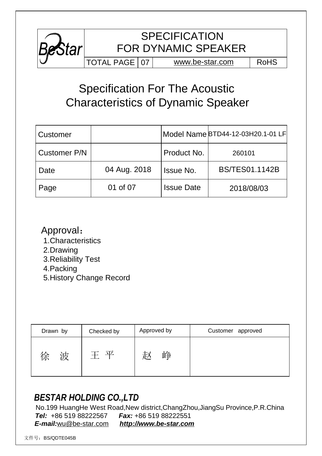

## Specification For The Acoustic Characteristics of Dynamic Speaker

| Customer     |              |                   | Model Name BTD44-12-03H20.1-01 LF |
|--------------|--------------|-------------------|-----------------------------------|
| Customer P/N |              | Product No.       | 260101                            |
| Date         | 04 Aug. 2018 | <b>Issue No.</b>  | <b>BS/TES01.1142B</b>             |
| Page         | 01 of 07     | <b>Issue Date</b> | 2018/08/03                        |

### Approval:

- 1.Characteristics
- 2.Drawing
- 3.Reliability Test
- 4.Packing
- 5.History Change Record

| Drawn by | Checked by | Approved by | Customer approved |
|----------|------------|-------------|-------------------|
| 徐        | 一立         | もん          |                   |
| 波        | $+$        | 叫井          |                   |

### *BESTAR HOLDING CO.,LTD*

 No.199 HuangHe West Road,New district,ChangZhou,JiangSu Province,P.R.China *Tel:* +86 519 88222567 *Fax:* +86 519 88222551 *E-mail:*[wu@be-star.com](mailto:wu@be-star.com) *<http://www.be-star.com>*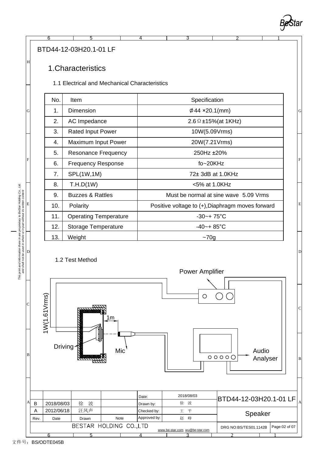

2 1

 $\mathbf{D}$ 

#### BTD44-12-03H20.1-01 LF

#### 1.Characteristics

1.1 Electrical and Mechanical Characteristics

6 5 4 3

| No. | <b>Item</b>                  | Specification                                    |  |
|-----|------------------------------|--------------------------------------------------|--|
| 1.  | Dimension                    | $\phi$ 44 ×20.1(mm)                              |  |
| 2.  | AC Impedance                 | 2.6 $\Omega$ ±15%(at 1KHz)                       |  |
| 3.  | <b>Rated Input Power</b>     | 10W(5.09Vrms)                                    |  |
| 4.  | Maximum Input Power          | 20W(7.21Vrms)                                    |  |
| 5.  | <b>Resonance Frequency</b>   | 250Hz ±20%                                       |  |
| 6.  | <b>Frequency Response</b>    | $fo - 20KHz$                                     |  |
| 7.  | SPL(1W,1M)                   | 72± 3dB at 1.0KHz                                |  |
| 8.  | T.H.D(1W)                    | <5% at 1.0KHz                                    |  |
| 9.  | <b>Buzzes &amp; Rattles</b>  | Must be normal at sine wave 5.09 Vrms            |  |
| 10. | Polarity                     | Positive voltage to (+), Diaphragm moves forward |  |
| 11. | <b>Operating Temperature</b> | $-30-+75$ °C                                     |  |
| 12. | <b>Storage Temperature</b>   | $-40-+85$ °C                                     |  |
| 13. | Weight                       | $~1$ 70g                                         |  |





This print and information there in are proprietary to BeStar Holding Co., Ltd.<br>and shall not be used in whole or in part without its written content *This print and information there in are proprietary to BeStar Holding Co., Ltd. and shall not be used in whole or in part without its written content* E  $\overline{D}$ C B

F

G

H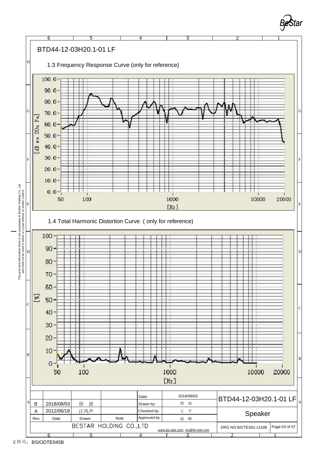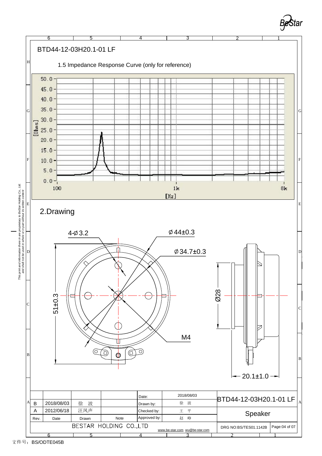

**Bestar**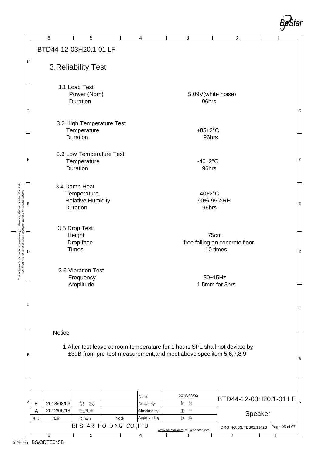

| BTD44-12-03H20.1-01 LF<br>Η<br>3. Reliability Test<br>3.1 Load Test<br>Power (Nom)<br>5.09V(white noise)<br>Duration<br>96hrs<br>${\bf G}$<br>3.2 High Temperature Test<br>Temperature<br>$+85\pm2\degree C$<br>Duration<br>96hrs<br>3.3 Low Temperature Test<br>F<br>$-40\pm2\degree$ C<br>Temperature<br>Duration<br>96hrs<br>3.4 Damp Heat<br>and shall not be used in whole or in part without its written content<br>40±2°C<br>Temperature<br><b>Relative Humidity</b><br>90%-95%RH<br>$\mathbf E$<br>Duration<br>96hrs<br>3.5 Drop Test<br>Height<br>75cm<br>free falling on concrete floor<br>Drop face<br><b>Times</b><br>10 times<br>D<br>3.6 Vibration Test<br>Frequency<br>30±15Hz<br>Amplitude<br>1.5mm for 3hrs<br>C<br>Notice:<br>1. After test leave at room temperature for 1 hours, SPL shall not deviate by<br>±3dB from pre-test measurement, and meet above spec.item 5,6,7,8,9<br>B<br>2018/08/03<br>Date:<br>BTD44-12-03H20.1-01 LF<br>A<br>徐<br>波<br>2018/08/03<br>徐<br>波<br>B<br>Drawn by:<br>汪凤声<br>2012/06/18<br>A<br>王平<br>Checked by:<br>Speaker<br>Approved by:<br>Drawn<br>Note<br>赵 峥<br>Date<br>Rev.<br>BESTAR HOLDING CO., LTD<br>Page:05 of 07<br>DRG NO:BS/TES01.1142B<br>www.be-star.com wu@be-star.com<br>6<br>5<br>4<br>з |  | 6 | 5 |  | 4 |  | 3 |  |  |  |              |
|-----------------------------------------------------------------------------------------------------------------------------------------------------------------------------------------------------------------------------------------------------------------------------------------------------------------------------------------------------------------------------------------------------------------------------------------------------------------------------------------------------------------------------------------------------------------------------------------------------------------------------------------------------------------------------------------------------------------------------------------------------------------------------------------------------------------------------------------------------------------------------------------------------------------------------------------------------------------------------------------------------------------------------------------------------------------------------------------------------------------------------------------------------------------------------------------------------------------------------------------------------------------|--|---|---|--|---|--|---|--|--|--|--------------|
|                                                                                                                                                                                                                                                                                                                                                                                                                                                                                                                                                                                                                                                                                                                                                                                                                                                                                                                                                                                                                                                                                                                                                                                                                                                                 |  |   |   |  |   |  |   |  |  |  |              |
|                                                                                                                                                                                                                                                                                                                                                                                                                                                                                                                                                                                                                                                                                                                                                                                                                                                                                                                                                                                                                                                                                                                                                                                                                                                                 |  |   |   |  |   |  |   |  |  |  |              |
|                                                                                                                                                                                                                                                                                                                                                                                                                                                                                                                                                                                                                                                                                                                                                                                                                                                                                                                                                                                                                                                                                                                                                                                                                                                                 |  |   |   |  |   |  |   |  |  |  | ${\bf G}$    |
|                                                                                                                                                                                                                                                                                                                                                                                                                                                                                                                                                                                                                                                                                                                                                                                                                                                                                                                                                                                                                                                                                                                                                                                                                                                                 |  |   |   |  |   |  |   |  |  |  |              |
|                                                                                                                                                                                                                                                                                                                                                                                                                                                                                                                                                                                                                                                                                                                                                                                                                                                                                                                                                                                                                                                                                                                                                                                                                                                                 |  |   |   |  |   |  |   |  |  |  | $\mathbf F$  |
|                                                                                                                                                                                                                                                                                                                                                                                                                                                                                                                                                                                                                                                                                                                                                                                                                                                                                                                                                                                                                                                                                                                                                                                                                                                                 |  |   |   |  |   |  |   |  |  |  | $\mathbf E$  |
|                                                                                                                                                                                                                                                                                                                                                                                                                                                                                                                                                                                                                                                                                                                                                                                                                                                                                                                                                                                                                                                                                                                                                                                                                                                                 |  |   |   |  |   |  |   |  |  |  | $\mathbf D$  |
|                                                                                                                                                                                                                                                                                                                                                                                                                                                                                                                                                                                                                                                                                                                                                                                                                                                                                                                                                                                                                                                                                                                                                                                                                                                                 |  |   |   |  |   |  |   |  |  |  |              |
|                                                                                                                                                                                                                                                                                                                                                                                                                                                                                                                                                                                                                                                                                                                                                                                                                                                                                                                                                                                                                                                                                                                                                                                                                                                                 |  |   |   |  |   |  |   |  |  |  | $\mathbf C$  |
|                                                                                                                                                                                                                                                                                                                                                                                                                                                                                                                                                                                                                                                                                                                                                                                                                                                                                                                                                                                                                                                                                                                                                                                                                                                                 |  |   |   |  |   |  |   |  |  |  | $\, {\bf B}$ |
|                                                                                                                                                                                                                                                                                                                                                                                                                                                                                                                                                                                                                                                                                                                                                                                                                                                                                                                                                                                                                                                                                                                                                                                                                                                                 |  |   |   |  |   |  |   |  |  |  | A            |
|                                                                                                                                                                                                                                                                                                                                                                                                                                                                                                                                                                                                                                                                                                                                                                                                                                                                                                                                                                                                                                                                                                                                                                                                                                                                 |  |   |   |  |   |  |   |  |  |  |              |
|                                                                                                                                                                                                                                                                                                                                                                                                                                                                                                                                                                                                                                                                                                                                                                                                                                                                                                                                                                                                                                                                                                                                                                                                                                                                 |  |   |   |  |   |  |   |  |  |  |              |
|                                                                                                                                                                                                                                                                                                                                                                                                                                                                                                                                                                                                                                                                                                                                                                                                                                                                                                                                                                                                                                                                                                                                                                                                                                                                 |  |   |   |  |   |  |   |  |  |  |              |

*This print and information there in are proprietary to BeStar Holding Co., Ltd.*

This print and information there in are proprietary to BeStar Holding Co., Ltd.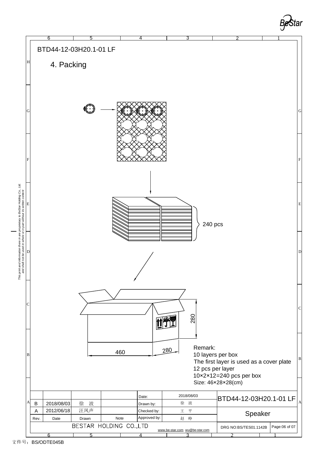